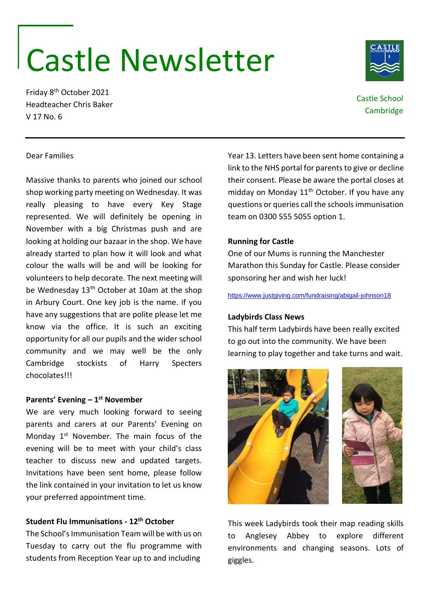# Castle Newsletter

Friday 8th October 2021 Headteacher Chris Baker V 17 No. 6

# Castle School **Cambridge**

## Dear Families

Massive thanks to parents who joined our school shop working party meeting on Wednesday. It was really pleasing to have every Key Stage represented. We will definitely be opening in November with a big Christmas push and are looking at holding our bazaar in the shop. We have already started to plan how it will look and what colour the walls will be and will be looking for volunteers to help decorate. The next meeting will be Wednesday 13<sup>th</sup> October at 10am at the shop in Arbury Court. One key job is the name. if you have any suggestions that are polite please let me know via the office. It is such an exciting opportunity for all our pupils and the wider school community and we may well be the only Cambridge stockists of Harry Specters chocolates!!!

# **Parents' Evening – 1 st November**

We are very much looking forward to seeing parents and carers at our Parents' Evening on Monday  $1<sup>st</sup>$  November. The main focus of the evening will be to meet with your child's class teacher to discuss new and updated targets. Invitations have been sent home, please follow the link contained in your invitation to let us know your preferred appointment time.

# **Student Flu Immunisations - 12th October**

The School's Immunisation Team will be with us on Tuesday to carry out the flu programme with students from Reception Year up to and including

Year 13. Letters have been sent home containing a link to the NHS portal for parents to give or decline their consent. Please be aware the portal closes at midday on Monday  $11<sup>th</sup>$  October. If you have any questions or queries call the schools immunisation team on 0300 555 5055 option 1.

## **Running for Castle**

One of our Mums is running the Manchester Marathon this Sunday for Castle. Please consider sponsoring her and wish her luck!

<https://www.justgiving.com/fundraising/abigail-johnson18>

#### **Ladybirds Class News**

This half term Ladybirds have been really excited to go out into the community. We have been learning to play together and take turns and wait.



This week Ladybirds took their map reading skills to Anglesey Abbey to explore different environments and changing seasons. Lots of giggles.